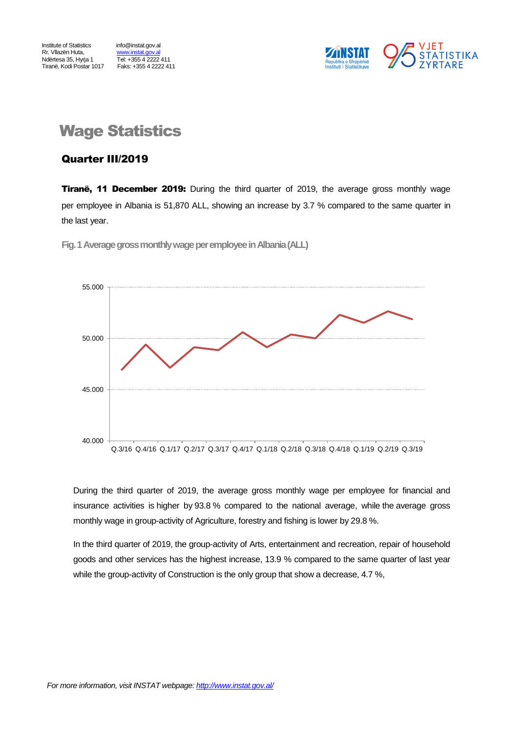<u>Tel: +355 4 2222</u> 411<br>
Faks: +355 4 2222 411



## Wage Statistics

### Quarter III/2019

**Tiranë, 11 December 2019:** During the third quarter of 2019, the average gross monthly wage per employee in Albania is 51,870 ALL, showing an increase by 3.7 % compared to the same quarter in the last year.



**Fig.1Average gross monthly wage per employeein Albania(ALL)**

During the third quarter of 2019, the average gross monthly wage per employee for financial and insurance activities is higher by 93.8 % compared to the national average, while the average gross monthly wage in group-activity of Agriculture, forestry and fishing is lower by 29.8 %.

In the third quarter of 2019, the group-activity of Arts, entertainment and recreation, repair of household goods and other services has the highest increase, 13.9 % compared to the same quarter of last year while the group-activity of Construction is the only group that show a decrease, 4.7 %,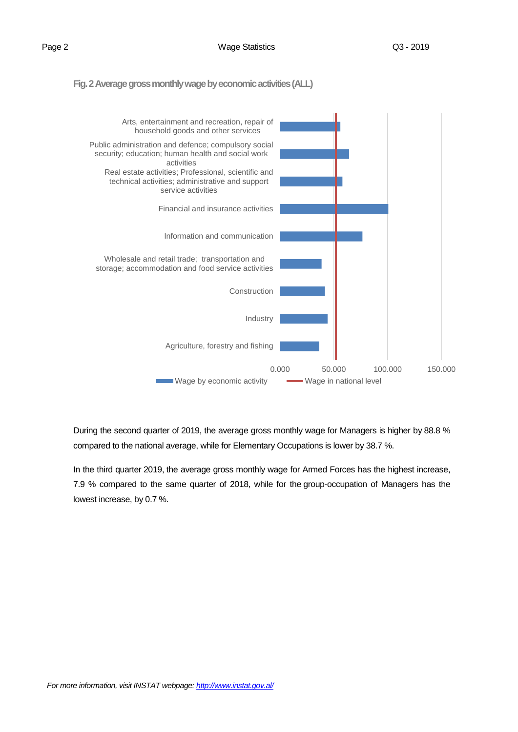#### **Fig. 2 Average gross monthly wage by economic activities(ALL)**



During the second quarter of 2019, the average gross monthly wage for Managers is higher by 88.8 % compared to the national average, while for Elementary Occupations is lower by 38.7 %.

In the third quarter 2019, the average gross monthly wage for Armed Forces has the highest increase, 7.9 % compared to the same quarter of 2018, while for the group-occupation of Managers has the lowest increase, by 0.7 %.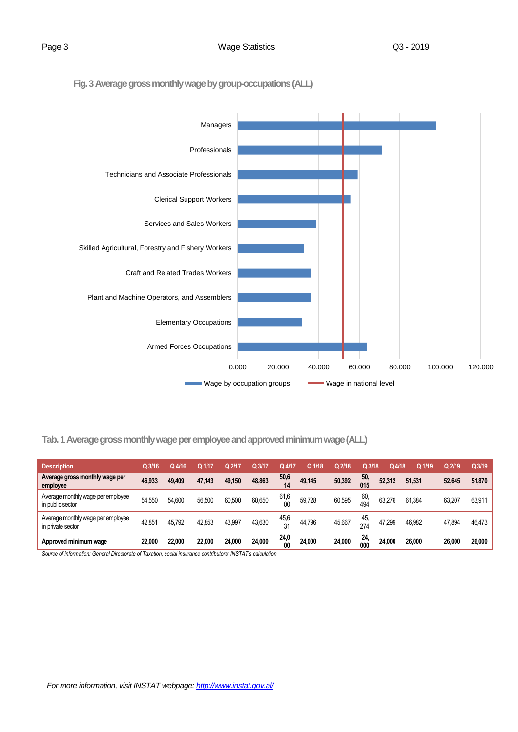**Fig. 3Average gross monthly wage by group-occupations(ALL)**



**Tab. 1 Average gross monthly wage per employee and approved minimum wage (ALL)**

| <b>Description</b>                                     | Q.3/16 | Q.4/16 | Q.1717 | Q.2/17 | Q.3/17 | Q.4/1      | Q.1/18 | Q.2/18 | Q.3/18     | Q.4/18 | Q.1/19 | Q.2/19 | Q.3/19 |
|--------------------------------------------------------|--------|--------|--------|--------|--------|------------|--------|--------|------------|--------|--------|--------|--------|
| Average gross monthly wage per<br>employee             | 46.933 | 49,409 | 47.143 | 49,150 | 48,863 | 50,6<br>14 | 49,145 | 50,392 | 50,<br>015 | 52.312 | 51,531 | 52,645 | 51,870 |
| Average monthly wage per employee<br>in public sector  | 54.550 | 54.600 | 56,500 | 60.500 | 60,650 | 61,6<br>00 | 59,728 | 60,595 | 60,<br>494 | 63.276 | 61.384 | 63.207 | 63,911 |
| Average monthly wage per employee<br>in private sector | 42,851 | 45,792 | 42,853 | 43,997 | 43,630 | 45,6<br>31 | 44,796 | 45,667 | 45.<br>274 | 47,299 | 46,982 | 47,894 | 46,473 |
| Approved minimum wage                                  | 22,000 | 22,000 | 22,000 | 24,000 | 24.000 | 24,0<br>00 | 24,000 | 24.000 | 24,<br>000 | 24.000 | 26,000 | 26,000 | 26,000 |

*Source of information: General Directorate of Taxation, social insurance contributors; INSTAT's calculation*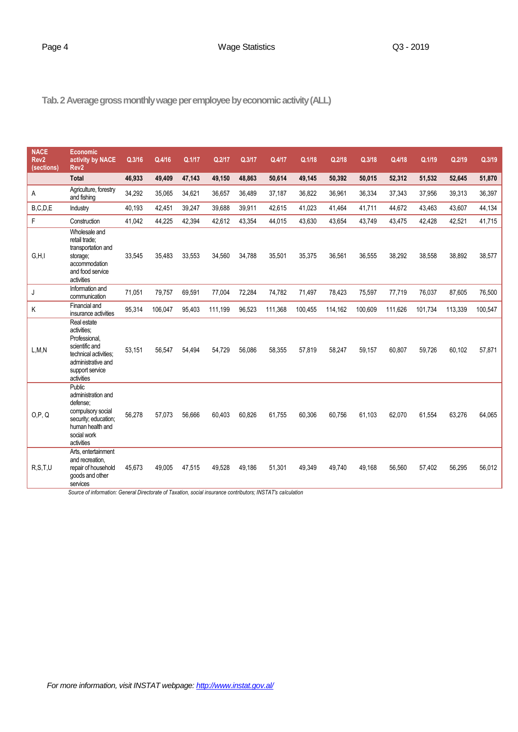### Page 4 Case Contract Contract Contract Contract Contract Contract Contract Contract Contract Contract Contract Contract Contract Contract Contract Contract Contract Contract Contract Contract Contract Contract Contract Con

**Tab.2 Average gross monthly wage per employee by economic activity(ALL)**

| <b>NACE</b><br>Rev <sub>2</sub><br>(sections) | <b>Economic</b><br>activity by NACE<br>Rev <sub>2</sub>                                                                                                                                                     | Q.3/16 | Q.4/16  | Q.1/17 | Q.2/17  | Q.3/17 | Q.4/17  | Q.1/18  | Q.2/18  | Q.3/18  | Q.4/18  | Q.1/19  | Q.2/19  | Q.3/19  |
|-----------------------------------------------|-------------------------------------------------------------------------------------------------------------------------------------------------------------------------------------------------------------|--------|---------|--------|---------|--------|---------|---------|---------|---------|---------|---------|---------|---------|
|                                               | <b>Total</b>                                                                                                                                                                                                | 46,933 | 49,409  | 47,143 | 49,150  | 48,863 | 50,614  | 49,145  | 50,392  | 50,015  | 52,312  | 51,532  | 52,645  | 51,870  |
| A                                             | Agriculture, forestry<br>and fishing                                                                                                                                                                        | 34,292 | 35,065  | 34,621 | 36,657  | 36,489 | 37,187  | 36,822  | 36,961  | 36,334  | 37,343  | 37,956  | 39,313  | 36,397  |
| B.C.D.E                                       | Industry                                                                                                                                                                                                    | 40,193 | 42,451  | 39,247 | 39,688  | 39,911 | 42,615  | 41,023  | 41,464  | 41,711  | 44,672  | 43,463  | 43,607  | 44,134  |
| F                                             | Construction                                                                                                                                                                                                | 41,042 | 44,225  | 42,394 | 42,612  | 43,354 | 44,015  | 43,630  | 43,654  | 43,749  | 43,475  | 42,428  | 42,521  | 41,715  |
| G, H, I                                       | Wholesale and<br>retail trade;<br>transportation and<br>storage;<br>accommodation<br>and food service<br>activities                                                                                         | 33,545 | 35,483  | 33,553 | 34,560  | 34,788 | 35,501  | 35,375  | 36,561  | 36,555  | 38,292  | 38,558  | 38,892  | 38,577  |
| J                                             | Information and<br>communication                                                                                                                                                                            | 71,051 | 79,757  | 69,591 | 77,004  | 72,284 | 74,782  | 71,497  | 78,423  | 75,597  | 77,719  | 76,037  | 87,605  | 76,500  |
| Κ                                             | Financial and<br>insurance activities                                                                                                                                                                       | 95,314 | 106,047 | 95,403 | 111,199 | 96,523 | 111,368 | 100,455 | 114,162 | 100,609 | 111,626 | 101,734 | 113,339 | 100,547 |
| L, M, N                                       | Real estate<br>activities:<br>Professional.<br>scientific and<br>technical activities:<br>administrative and<br>support service<br>activities                                                               | 53,151 | 56,547  | 54,494 | 54,729  | 56,086 | 58,355  | 57,819  | 58,247  | 59,157  | 60,807  | 59,726  | 60,102  | 57,871  |
| O, P, Q                                       | <b>Public</b><br>administration and<br>defense:<br>compulsory social<br>security; education;<br>human health and<br>social work<br>activities                                                               | 56,278 | 57,073  | 56.666 | 60,403  | 60.826 | 61,755  | 60,306  | 60,756  | 61,103  | 62,070  | 61,554  | 63,276  | 64,065  |
| R, S, T, U                                    | Arts, entertainment<br>and recreation.<br>repair of household<br>goods and other<br>services<br>Source of information: General Directorate of Taxation, social insurance contributors; INSTAT's calculation | 45,673 | 49,005  | 47,515 | 49,528  | 49,186 | 51,301  | 49,349  | 49,740  | 49,168  | 56,560  | 57,402  | 56,295  | 56,012  |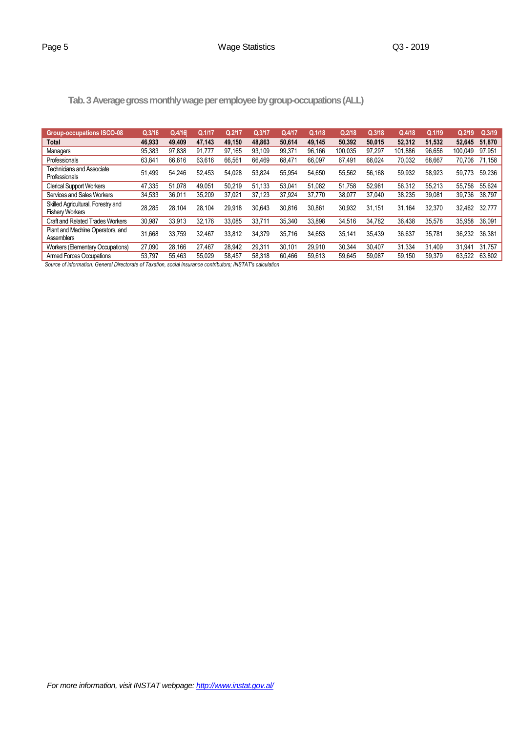| Tab. 3 Average gross monthly wage per employee by group-occupations (ALL) |  |
|---------------------------------------------------------------------------|--|
|                                                                           |  |

| <b>Group-occupations ISCO-08</b>                             | Q.3/16                  | Q.4/16 | Q.1/17 | Q.2/17  | Q.3/17 | Q.4/17 | Q.1/18 | Q.2/18  | Q.3/18 | Q.4/18  | Q.1/19 | Q.2/19  | Q.3/19 |
|--------------------------------------------------------------|-------------------------|--------|--------|---------|--------|--------|--------|---------|--------|---------|--------|---------|--------|
| <b>Total</b>                                                 | 46.933                  | 49,409 | 47.143 | 49,150  | 48.863 | 50.614 | 49.145 | 50.392  | 50.015 | 52.312  | 51.532 | 52.645  | 51,870 |
| Managers                                                     | 95,383                  | 97.838 | 91.777 | 97,165  | 93.109 | 99.371 | 96.166 | 100.035 | 97.297 | 101.886 | 96.656 | 100.049 | 97.951 |
| Professionals                                                | 63,841                  | 66,616 | 63,616 | 66,561  | 66.469 | 68.471 | 66,097 | 67,491  | 68.024 | 70,032  | 68,667 | 70,706  | 71.158 |
| Technicians and Associate<br>Professionals                   | 51.499                  | 54.246 | 52.453 | 54.028  | 53.824 | 55.954 | 54.650 | 55.562  | 56.168 | 59.932  | 58.923 | 59,773  | 59.236 |
| <b>Clerical Support Workers</b>                              | 47,335                  | 51.078 | 49,051 | 50,219  | 51.133 | 53.041 | 51,082 | 51,758  | 52.981 | 56,312  | 55,213 | 55,756  | 55,624 |
| Services and Sales Workers                                   | 34,533                  | 36,011 | 35,209 | 37,021  | 37.123 | 37.924 | 37,770 | 38,077  | 37,040 | 38,235  | 39,081 | 39.736  | 38,797 |
| Skilled Agricultural, Forestry and<br><b>Fishery Workers</b> | 28,285                  | 28.104 | 28.104 | 29,918  | 30.643 | 30,816 | 30,861 | 30,932  | 31.151 | 31.164  | 32,370 | 32.462  | 32,777 |
| <b>Craft and Related Trades Workers</b>                      | 30.987                  | 33.913 | 32.176 | 33.085  | 33.711 | 35.340 | 33.898 | 34.516  | 34.782 | 36.438  | 35.578 | 35.958  | 36.091 |
| Plant and Machine Operators, and<br>Assemblers               | 31.668                  | 33.759 | 32.467 | 33.812  | 34.379 | 35.716 | 34.653 | 35.141  | 35.439 | 36.637  | 35.781 | 36.232  | 36.381 |
| <b>Workers (Elementary Occupations)</b>                      | 27,090                  | 28.166 | 27,467 | 28,942  | 29,311 | 30.101 | 29,910 | 30,344  | 30.407 | 31.334  | 31.409 | 31,941  | 31.757 |
| <b>Armed Forces Occupations</b>                              | 53,797                  | 55,463 | 55,029 | 58,457  | 58,318 | 60,466 | 59,613 | 59,645  | 59,087 | 59,150  | 59,379 | 63,522  | 63,802 |
|                                                              | $\epsilon$ $\tau$ $\mu$ |        |        | 1110T1T |        |        |        |         |        |         |        |         |        |

 *Source of information: General Directorate of Taxation, social insurance contributors; INSTAT's calculation*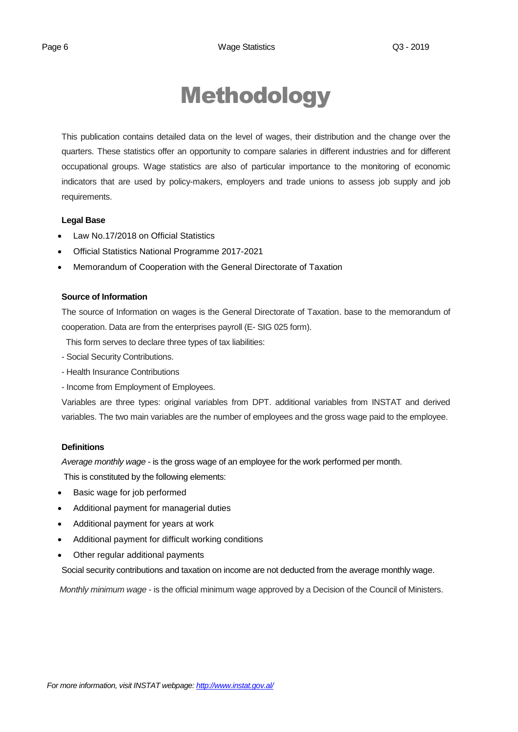# Methodology

This publication contains detailed data on the level of wages, their distribution and the change over the quarters. These statistics offer an opportunity to compare salaries in different industries and for different occupational groups. Wage statistics are also of particular importance to the monitoring of economic indicators that are used by policy-makers, employers and trade unions to assess job supply and job requirements.

### **Legal Base**

- [Law No.17/2018 on Official Statistics](http://instat.gov.al/media/3972/law-no17-2018-on-official-statistics.pdf)
- Official Statistics National Programme 2017-2021
- Memorandum of Cooperation with the General Directorate of Taxation

### **Source of Information**

The source of Information on wages is the General Directorate of Taxation. base to the memorandum of cooperation. Data are from the enterprises payroll (E- SIG 025 form).

This form serves to declare three types of tax liabilities:

- Social Security Contributions.
- Health Insurance Contributions
- Income from Employment of Employees.

Variables are three types: original variables from DPT. additional variables from INSTAT and derived variables. The two main variables are the number of employees and the gross wage paid to the employee.

### **Definitions**

*Average monthly wage* - is the gross wage of an employee for the work performed per month.

This is constituted by the following elements:

- Basic wage for job performed
- Additional payment for managerial duties
- Additional payment for years at work
- Additional payment for difficult working conditions
- Other regular additional payments

Social security contributions and taxation on income are not deducted from the average monthly wage.

*Monthly minimum wage* - is the official minimum wage approved by a Decision of the Council of Ministers.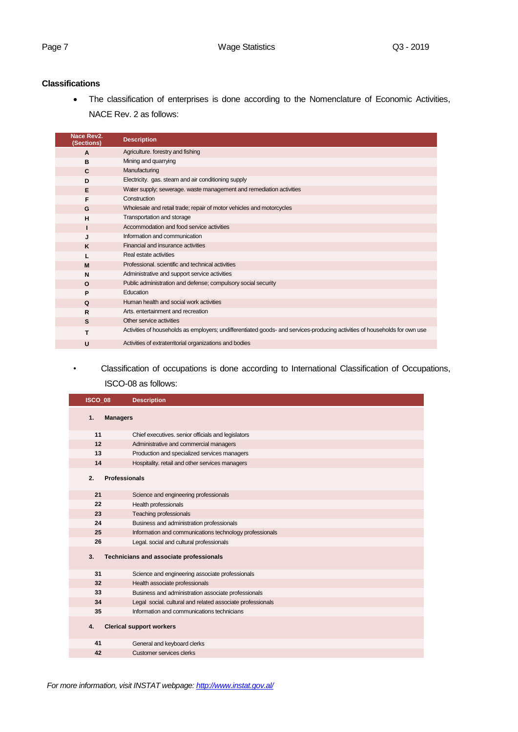### **Classifications**

 The classification of enterprises is done according to the Nomenclature of Economic Activities, NACE Rev. 2 as follows:

| Nace Rev2.<br>(Sections) | <b>Description</b>                                                                                                         |
|--------------------------|----------------------------------------------------------------------------------------------------------------------------|
| A                        | Agriculture. forestry and fishing                                                                                          |
| в                        | Mining and quarrying                                                                                                       |
| C                        | Manufacturing                                                                                                              |
| D                        | Electricity. gas. steam and air conditioning supply                                                                        |
| Е                        | Water supply; sewerage, waste management and remediation activities                                                        |
| F                        | Construction                                                                                                               |
| G                        | Wholesale and retail trade; repair of motor vehicles and motorcycles                                                       |
| н                        | Transportation and storage                                                                                                 |
|                          | Accommodation and food service activities                                                                                  |
| J                        | Information and communication                                                                                              |
| K                        | Financial and insurance activities                                                                                         |
|                          | Real estate activities                                                                                                     |
| M                        | Professional, scientific and technical activities                                                                          |
| N                        | Administrative and support service activities                                                                              |
| $\Omega$                 | Public administration and defense; compulsory social security                                                              |
| P                        | Education                                                                                                                  |
| Q                        | Human health and social work activities                                                                                    |
| R                        | Arts, entertainment and recreation                                                                                         |
| S                        | Other service activities                                                                                                   |
| T                        | Activities of households as employers; undifferentiated goods- and services-producing activities of households for own use |
| U                        | Activities of extraterritorial organizations and bodies                                                                    |

*•* Classification of occupations is done according to International Classification of Occupations, ISCO-08 as follows:

| <b>ISCO_08</b> | <b>Description</b>                                         |
|----------------|------------------------------------------------------------|
| 1.             | <b>Managers</b>                                            |
| 11             | Chief executives. senior officials and legislators         |
| 12             | Administrative and commercial managers                     |
| 13             | Production and specialized services managers               |
| 14             | Hospitality. retail and other services managers            |
| 2.             | <b>Professionals</b>                                       |
| 21             | Science and engineering professionals                      |
| 22             | Health professionals                                       |
| 23             | <b>Teaching professionals</b>                              |
| 24             | Business and administration professionals                  |
| 25             | Information and communications technology professionals    |
| 26             | Legal. social and cultural professionals                   |
| 3.             | Technicians and associate professionals                    |
| 31             | Science and engineering associate professionals            |
| 32             | Health associate professionals                             |
| 33             | Business and administration associate professionals        |
| 34             | Legal social. cultural and related associate professionals |
| 35             | Information and communications technicians                 |
| 4.             | <b>Clerical support workers</b>                            |
| 41             | General and keyboard clerks                                |
| 42             | Customer services clerks                                   |